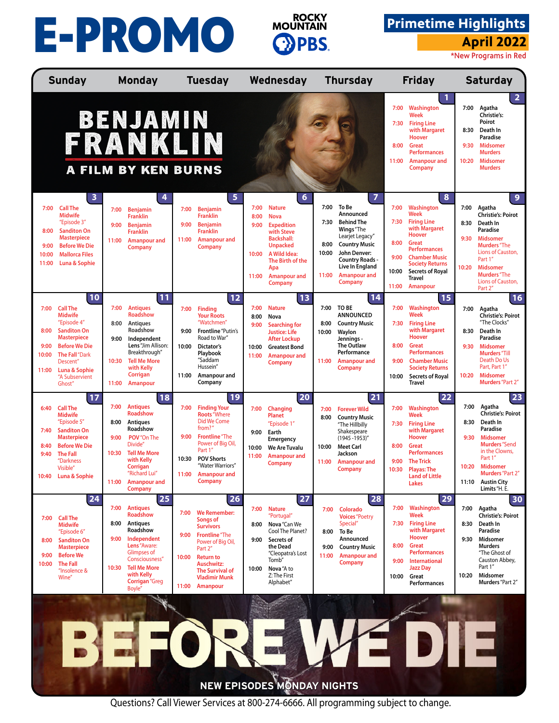## **April 2022**<br> **April 2022 April 2022**<br> **April 2022**



## **Primetime Highlights**

|                                        | <b>Sunday</b>                                                                                                                                                                                                |                                        | <b>Monday</b>                                                                                                                                                                                                          |                                | <b>Tuesday</b>                                                                                                                                                                                                                         |                                        | Wednesday                                                                                                                                                                                 |                                        | <b>Thursday</b>                                                                                                                                                                                                   |                                                | <b>Friday</b>                                                                                                                                                                                                                |                               | <b>Saturday</b>                                                                                                                                                                                                                   |
|----------------------------------------|--------------------------------------------------------------------------------------------------------------------------------------------------------------------------------------------------------------|----------------------------------------|------------------------------------------------------------------------------------------------------------------------------------------------------------------------------------------------------------------------|--------------------------------|----------------------------------------------------------------------------------------------------------------------------------------------------------------------------------------------------------------------------------------|----------------------------------------|-------------------------------------------------------------------------------------------------------------------------------------------------------------------------------------------|----------------------------------------|-------------------------------------------------------------------------------------------------------------------------------------------------------------------------------------------------------------------|------------------------------------------------|------------------------------------------------------------------------------------------------------------------------------------------------------------------------------------------------------------------------------|-------------------------------|-----------------------------------------------------------------------------------------------------------------------------------------------------------------------------------------------------------------------------------|
|                                        |                                                                                                                                                                                                              |                                        | <b>BENJAMIN</b><br>FRANKLIN<br><b>A FILM BY KEN BURNS</b>                                                                                                                                                              |                                |                                                                                                                                                                                                                                        |                                        |                                                                                                                                                                                           |                                        |                                                                                                                                                                                                                   | 7:00<br>7:30<br>8:00<br>11:00                  | 1<br>Washington<br><b>Week</b><br><b>Firing Line</b><br>with Margaret<br>Hoover<br>Great<br><b>Performances</b><br>Amanpour and<br>Company                                                                                   | 7:00<br>8:30<br>9:30<br>10:20 | $\overline{2}$<br>Agatha<br>Christie's:<br>Poirot<br>Death In<br>Paradise<br><b>Midsomer</b><br><b>Murders</b><br><b>Midsomer</b><br><b>Murders</b>                                                                               |
| 7:00<br>8:00<br>9:00<br>10:00<br>11:00 | 3<br><b>Call The</b><br>Midwife<br>"Episode 3"<br><b>Sanditon On</b><br><b>Masterpiece</b><br><b>Before We Die</b><br><b>Mallorca Files</b><br>Luna & Sophie                                                 | 7:00<br>9:00<br>11:00                  | 4<br><b>Benjamin</b><br><b>Franklin</b><br><b>Benjamin</b><br><b>Franklin</b><br><b>Amanpour and</b><br>Company                                                                                                        | 7:00<br>9:00<br>11:00          | 5<br><b>Benjamin</b><br><b>Franklin</b><br><b>Benjamin</b><br><b>Franklin</b><br><b>Amanpour and</b><br><b>Company</b>                                                                                                                 | 7:00<br>8:00<br>9:00<br>10:00<br>11:00 | 6<br><b>Nature</b><br><b>Nova</b><br><b>Expedition</b><br>with Steve<br><b>Backshall:</b><br><b>Unpacked</b><br>A Wild Idea:<br>The Birth of the<br>Apa<br><b>Amanpour and</b><br>Company | 7:00<br>7:30<br>8:00<br>10:00<br>11:00 | $\overline{7}$<br>To Be<br>Announced<br><b>Behind The</b><br>Wings "The<br>Learjet Legacy"<br><b>Country Music</b><br>John Denver:<br><b>Country Roads -</b><br>Live In England<br><b>Amanpour and</b><br>Company | 7:00<br>7:30<br>8:00<br>9:00<br>10:00<br>11:00 | 8<br>Washington<br>Week<br><b>Firing Line</b><br>with Margaret<br><b>Hoover</b><br><b>Great</b><br><b>Performances</b><br><b>Chamber Music</b><br><b>Society Returns</b><br><b>Secrets of Royal</b><br>Travel<br>Amanpour    | 7:00<br>8:30<br>9:30<br>10:20 | $\overline{9}$<br>Agatha<br><b>Christie's: Poirot</b><br>Death In<br>Paradise<br><b>Midsomer</b><br><b>Murders</b> "The<br>Lions of Causton,<br>Part 1"<br><b>Midsomer</b><br><b>Murders</b> "The<br>Lions of Causton,<br>Part 2" |
| 7:00<br>8:00<br>9:00<br>10:00<br>11:00 | 10<br><b>Call The</b><br><b>Midwife</b><br>"Episode 4"<br><b>Sanditon On</b><br><b>Masterpiece</b><br><b>Before We Die</b><br><b>The Fall</b> "Dark<br>Descent"<br>Luna & Sophie<br>"A Subservient<br>Ghost" | 7:00<br>8:00<br>9:00<br>10:30<br>11:00 | 11<br><b>Antiques</b><br><b>Roadshow</b><br><b>Antiques</b><br>Roadshow<br>Independent<br>Lens"Jim Allison:<br>Breakthrough"<br><b>Tell Me More</b><br>with Kelly<br>Corrigan<br>Amanpour                              | 7:00<br>9:00<br>10:00<br>11:00 | 12<br><b>Finding</b><br><b>Your Roots</b><br>"Watchmen"<br><b>Frontline</b> "Putin's<br>Road to War"<br><b>Dictator's</b><br>Playbook<br>"Saddam<br>Hussein"<br>Amanpour and<br>Company                                                | 7:00<br>8:00<br>9:00<br>10:00<br>11:00 | 13<br><b>Nature</b><br>Nova<br><b>Searching for</b><br><b>Justice: Life</b><br><b>After Lockup</b><br><b>Greatest Bond</b><br><b>Amanpour and</b><br><b>Company</b>                       | 7:00<br>8:00<br>10:00<br>11:00         | 14<br>TO BE<br><b>ANNOUNCED</b><br><b>Country Music</b><br>Waylon<br>Jennings -<br><b>The Outlaw</b><br>Performance<br><b>Amanpour and</b><br><b>Company</b>                                                      | 7:00<br>7:30<br>8:00<br>9:00<br>10:00          | <b>15</b><br>Washington<br>Week<br><b>Firing Line</b><br>with Margaret<br><b>Hoover</b><br><b>Great</b><br><b>Performances</b><br><b>Chamber Music</b><br><b>Society Returns</b><br><b>Secrets of Royal</b><br><b>Travel</b> | 7:00<br>8:30<br>9:30<br>10:20 | 16<br>Agatha<br><b>Christie's: Poirot</b><br>"The Clocks"<br>Death In<br>Paradise<br><b>Midsomer</b><br><b>Murders</b> "Till<br>Death Do Us<br>Part, Part 1"<br><b>Midsomer</b><br><b>Murders</b> "Part 2"                        |
| 6:40<br>7:40<br>8:40<br>9:40           | 17<br><b>Call The</b><br><b>Midwife</b><br>"Episode 5"<br><b>Sanditon On</b><br><b>Masterpiece</b><br><b>Before We Die</b><br><b>The Fall</b><br>"Darkness<br>Visible'<br>10:40 Luna & Sophie                | 7:00<br>8:00<br>9:00<br>10:30<br>11:00 | 18<br><b>Antiques</b><br><b>Roadshow</b><br>Antiques<br>Roadshow<br>POV"On The<br>Divide"<br><b>Tell Me More</b><br>with Kelly<br>Corrigan<br>'Richard Lui'<br><b>Amanpour and</b><br><b>Company</b>                   | 7:00<br>9:00<br>10:30<br>11:00 | 19<br><b>Finding Your</b><br><b>Roots</b> "Where<br>Did We Come<br>from?"<br><b>Frontline</b> "The<br>Power of Big Oil,<br>Part 1"<br><b>POV Shorts</b><br>"Water Warriors"<br><b>Amanpour and</b><br>Company                          | 7:00<br>9:00<br>10:00<br>11:00         | 20<br>Changing<br><b>Planet</b><br>"Episode 1"<br>Earth<br><b>Emergency</b><br>We Are Tuvalu<br><b>Amanpour and</b><br><b>Company</b>                                                     | 7:00<br>8:00<br>10:00<br>11:00         | 21<br><b>Forever Wild</b><br><b>Country Music</b><br>"The Hillbilly<br>Shakespeare<br>$(1945 - 1953)'$<br><b>Meet Carl</b><br>Jackson<br><b>Amanpour and</b><br><b>Company</b>                                    | 7:00<br>7:30<br>8:00<br>9:00                   | 22<br>Washington<br><b>Week</b><br><b>Firing Line</b><br>with Margaret<br><b>Hoover</b><br><b>Great</b><br><b>Performances</b><br><b>The Trick</b><br>10:30 Playas: The<br><b>Land of Little</b><br>Lakes                    | 7:00<br>8:30<br>9:30<br>10:20 | 23<br>Agatha<br><b>Christie's: Poirot</b><br>Death In<br>Paradise<br><b>Midsomer</b><br><b>Murders</b> "Send<br>in the Clowns,<br>Part 1"<br><b>Midsomer</b><br><b>Murders</b> "Part 2"<br>11:10 Austin City<br>Limits "H. E.     |
| 7:00<br>8:00<br>9:00<br>10:00          | 24<br><b>Call The</b><br><b>Midwife</b><br>"Episode 6"<br><b>Sanditon On</b><br><b>Masterpiece</b><br><b>Before We</b><br><b>The Fall</b><br>"Insolence &<br>Wine"                                           | 7:00<br>8:00<br>9:00<br>10:30          | 25<br><b>Antiques</b><br><b>Roadshow</b><br>Antiques<br>Roadshow<br>Independent<br>Lens "Aware:<br><b>Glimpses of</b><br>Consciousness"<br><b>Tell Me More</b><br>with Kelly<br><b>Corrigan</b> "Greg<br><b>Boyle"</b> | 7:00<br>9:00<br>10:00          | 26<br><b>We Remember:</b><br><b>Songs of</b><br><b>Survivors</b><br><b>Frontline</b> "The<br>Power of Big Oil,<br>Part 2"<br><b>Return to</b><br><b>Auschwitz:</b><br><b>The Survival of</b><br><b>Vladimir Munk</b><br>11:00 Amanpour | 7:00<br>8:00<br>9:00<br>10:00          | 27<br><b>Nature</b><br>"Portugal"<br>Nova "Can We<br>Cool The Planet?<br>Secrets of<br>the Dead<br>"Cleopatra's Lost<br>Tomb"<br>Nova "A to<br>Z: The First<br>Alphabet"                  | 7:00<br>8:00<br>9:00<br>11:00          | 28<br>Colorado<br><b>Voices</b> "Poetry<br>Special"<br>To Be<br>Announced<br><b>Country Music</b><br><b>Amanpour and</b><br><b>Company</b>                                                                        | 7:00<br>7:30<br>8:00<br>9:00<br>10:00          | 29<br>Washington<br><b>Week</b><br><b>Firing Line</b><br>with Margaret<br><b>Hoover</b><br><b>Great</b><br><b>Performances</b><br>International<br><b>Jazz Day</b><br>Great<br>Performances                                  | 7:00<br>8:30<br>9:30<br>10:20 | 30<br>Agatha<br><b>Christie's: Poirot</b><br>Death In<br>Paradise<br>Midsomer<br><b>Murders</b><br>"The Ghost of<br>Causton Abbey,<br>Part 1"<br>Midsomer<br>Murders "Part 2"                                                     |
|                                        |                                                                                                                                                                                                              |                                        |                                                                                                                                                                                                                        |                                |                                                                                                                                                                                                                                        |                                        | NEW EPISODES MONDAY NIGHTS                                                                                                                                                                |                                        |                                                                                                                                                                                                                   |                                                |                                                                                                                                                                                                                              |                               |                                                                                                                                                                                                                                   |

Questions? Call Viewer Services at 800-274-6666. All programming subject to change.